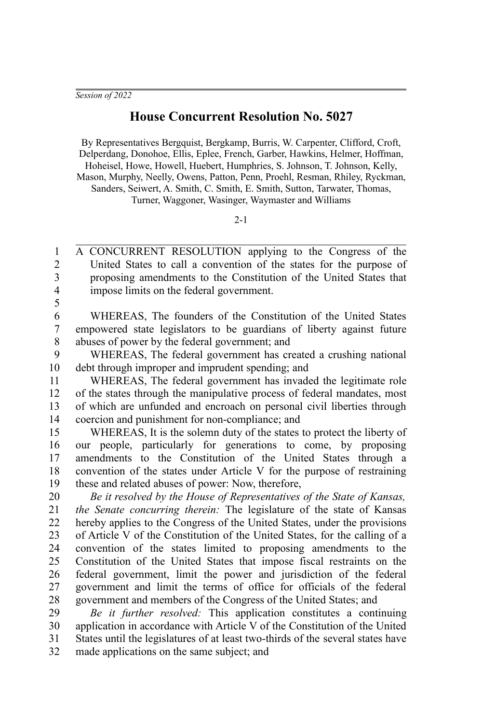## **House Concurrent Resolution No. 5027**

By Representatives Bergquist, Bergkamp, Burris, W. Carpenter, Clifford, Croft, Delperdang, Donohoe, Ellis, Eplee, French, Garber, Hawkins, Helmer, Hoffman, Hoheisel, Howe, Howell, Huebert, Humphries, S. Johnson, T. Johnson, Kelly, Mason, Murphy, Neelly, Owens, Patton, Penn, Proehl, Resman, Rhiley, Ryckman, Sanders, Seiwert, A. Smith, C. Smith, E. Smith, Sutton, Tarwater, Thomas, Turner, Waggoner, Wasinger, Waymaster and Williams

## $2 - 1$

A CONCURRENT RESOLUTION applying to the Congress of the United States to call a convention of the states for the purpose of proposing amendments to the Constitution of the United States that impose limits on the federal government. 1 2 3 4

5

WHEREAS, The founders of the Constitution of the United States empowered state legislators to be guardians of liberty against future abuses of power by the federal government; and 6 7 8

WHEREAS, The federal government has created a crushing national debt through improper and imprudent spending; and 9 10

WHEREAS, The federal government has invaded the legitimate role of the states through the manipulative process of federal mandates, most of which are unfunded and encroach on personal civil liberties through coercion and punishment for non-compliance; and 11 12 13 14

WHEREAS, It is the solemn duty of the states to protect the liberty of our people, particularly for generations to come, by proposing amendments to the Constitution of the United States through a convention of the states under Article V for the purpose of restraining these and related abuses of power: Now, therefore, 15 16 17 18 19

*Be it resolved by the House of Representatives of the State of Kansas, the Senate concurring therein:* The legislature of the state of Kansas hereby applies to the Congress of the United States, under the provisions of Article V of the Constitution of the United States, for the calling of a convention of the states limited to proposing amendments to the Constitution of the United States that impose fiscal restraints on the federal government, limit the power and jurisdiction of the federal government and limit the terms of office for officials of the federal government and members of the Congress of the United States; and 20 21 22 23 24 25 26 27 28

*Be it further resolved:* This application constitutes a continuing application in accordance with Article V of the Constitution of the United States until the legislatures of at least two-thirds of the several states have made applications on the same subject; and 29 30 31 32